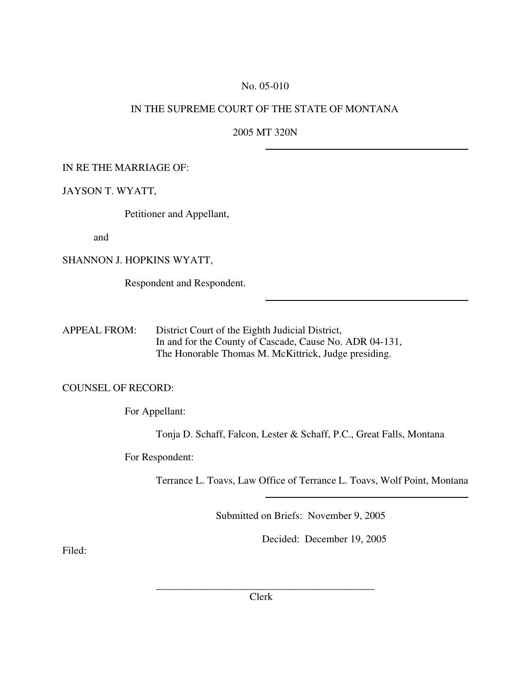#### No. 05-010

## IN THE SUPREME COURT OF THE STATE OF MONTANA

2005 MT 320N

### IN RE THE MARRIAGE OF:

#### JAYSON T. WYATT,

Petitioner and Appellant,

and

SHANNON J. HOPKINS WYATT,

Respondent and Respondent.

APPEAL FROM: District Court of the Eighth Judicial District, In and for the County of Cascade, Cause No. ADR 04-131, The Honorable Thomas M. McKittrick, Judge presiding.

#### COUNSEL OF RECORD:

For Appellant:

Tonja D. Schaff, Falcon, Lester & Schaff, P.C., Great Falls, Montana

For Respondent:

Terrance L. Toavs, Law Office of Terrance L. Toavs, Wolf Point, Montana

Submitted on Briefs: November 9, 2005

Decided: December 19, 2005

Filed: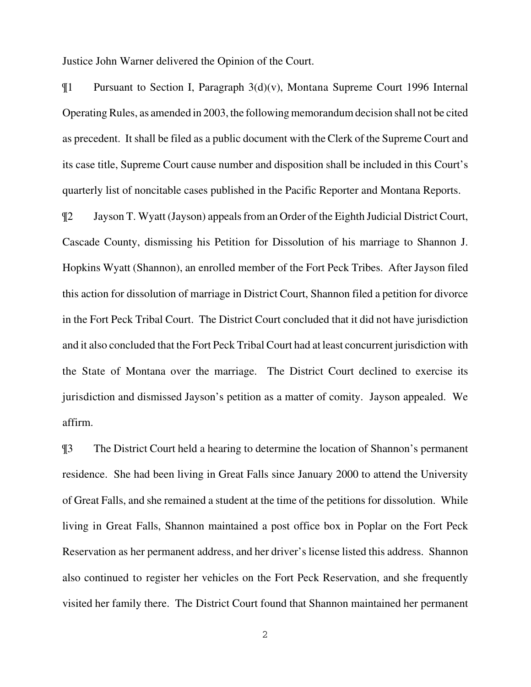Justice John Warner delivered the Opinion of the Court.

¶1 Pursuant to Section I, Paragraph 3(d)(v), Montana Supreme Court 1996 Internal Operating Rules, as amended in 2003, the following memorandum decision shall not be cited as precedent. It shall be filed as a public document with the Clerk of the Supreme Court and its case title, Supreme Court cause number and disposition shall be included in this Court's quarterly list of noncitable cases published in the Pacific Reporter and Montana Reports.

¶2 Jayson T. Wyatt (Jayson) appeals from an Order of the Eighth Judicial District Court, Cascade County, dismissing his Petition for Dissolution of his marriage to Shannon J. Hopkins Wyatt (Shannon), an enrolled member of the Fort Peck Tribes. After Jayson filed this action for dissolution of marriage in District Court, Shannon filed a petition for divorce in the Fort Peck Tribal Court. The District Court concluded that it did not have jurisdiction and it also concluded that the Fort Peck Tribal Court had at least concurrent jurisdiction with the State of Montana over the marriage. The District Court declined to exercise its jurisdiction and dismissed Jayson's petition as a matter of comity. Jayson appealed. We affirm.

¶3 The District Court held a hearing to determine the location of Shannon's permanent residence. She had been living in Great Falls since January 2000 to attend the University of Great Falls, and she remained a student at the time of the petitions for dissolution. While living in Great Falls, Shannon maintained a post office box in Poplar on the Fort Peck Reservation as her permanent address, and her driver's license listed this address. Shannon also continued to register her vehicles on the Fort Peck Reservation, and she frequently visited her family there. The District Court found that Shannon maintained her permanent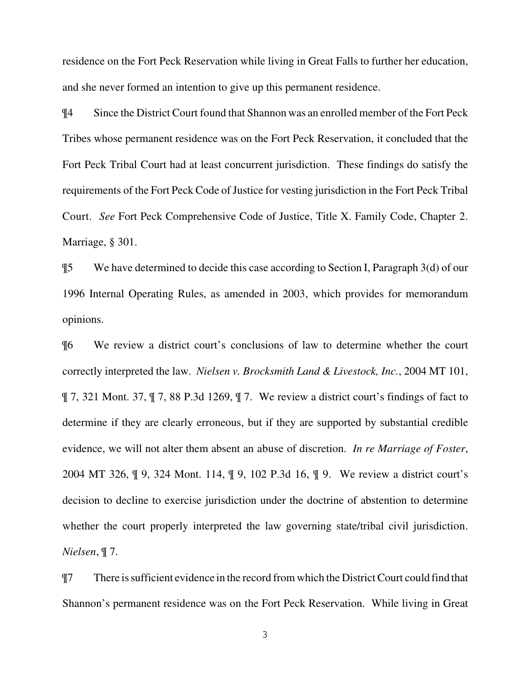residence on the Fort Peck Reservation while living in Great Falls to further her education, and she never formed an intention to give up this permanent residence.

¶4 Since the District Court found that Shannon was an enrolled member of the Fort Peck Tribes whose permanent residence was on the Fort Peck Reservation, it concluded that the Fort Peck Tribal Court had at least concurrent jurisdiction. These findings do satisfy the requirements of the Fort Peck Code of Justice for vesting jurisdiction in the Fort Peck Tribal Court. *See* Fort Peck Comprehensive Code of Justice, Title X. Family Code, Chapter 2. Marriage, § 301.

¶5 We have determined to decide this case according to Section I, Paragraph 3(d) of our 1996 Internal Operating Rules, as amended in 2003, which provides for memorandum opinions.

¶6 We review a district court's conclusions of law to determine whether the court correctly interpreted the law. *Nielsen v. Brocksmith Land & Livestock, Inc.*, 2004 MT 101, ¶ 7, 321 Mont. 37, ¶ 7, 88 P.3d 1269, ¶ 7. We review a district court's findings of fact to determine if they are clearly erroneous, but if they are supported by substantial credible evidence, we will not alter them absent an abuse of discretion. *In re Marriage of Foster*, 2004 MT 326, ¶ 9, 324 Mont. 114, ¶ 9, 102 P.3d 16, ¶ 9. We review a district court's decision to decline to exercise jurisdiction under the doctrine of abstention to determine whether the court properly interpreted the law governing state/tribal civil jurisdiction. *Nielsen*, ¶ 7.

¶7 There is sufficient evidence in the record from which the District Court could find that Shannon's permanent residence was on the Fort Peck Reservation. While living in Great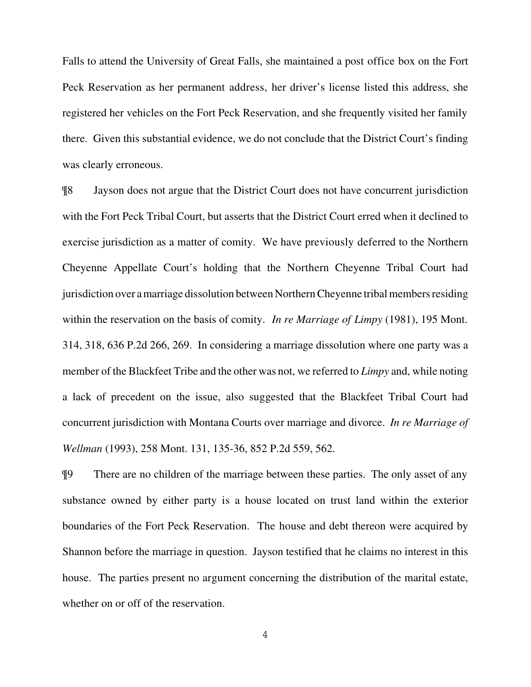Falls to attend the University of Great Falls, she maintained a post office box on the Fort Peck Reservation as her permanent address, her driver's license listed this address, she registered her vehicles on the Fort Peck Reservation, and she frequently visited her family there. Given this substantial evidence, we do not conclude that the District Court's finding was clearly erroneous.

¶8 Jayson does not argue that the District Court does not have concurrent jurisdiction with the Fort Peck Tribal Court, but asserts that the District Court erred when it declined to exercise jurisdiction as a matter of comity. We have previously deferred to the Northern Cheyenne Appellate Court's holding that the Northern Cheyenne Tribal Court had jurisdiction over a marriage dissolution between Northern Cheyenne tribal members residing within the reservation on the basis of comity. *In re Marriage of Limpy* (1981), 195 Mont. 314, 318, 636 P.2d 266, 269. In considering a marriage dissolution where one party was a member of the Blackfeet Tribe and the other was not, we referred to *Limpy* and, while noting a lack of precedent on the issue, also suggested that the Blackfeet Tribal Court had concurrent jurisdiction with Montana Courts over marriage and divorce. *In re Marriage of Wellman* (1993), 258 Mont. 131, 135-36, 852 P.2d 559, 562.

¶9 There are no children of the marriage between these parties. The only asset of any substance owned by either party is a house located on trust land within the exterior boundaries of the Fort Peck Reservation. The house and debt thereon were acquired by Shannon before the marriage in question. Jayson testified that he claims no interest in this house. The parties present no argument concerning the distribution of the marital estate, whether on or off of the reservation.